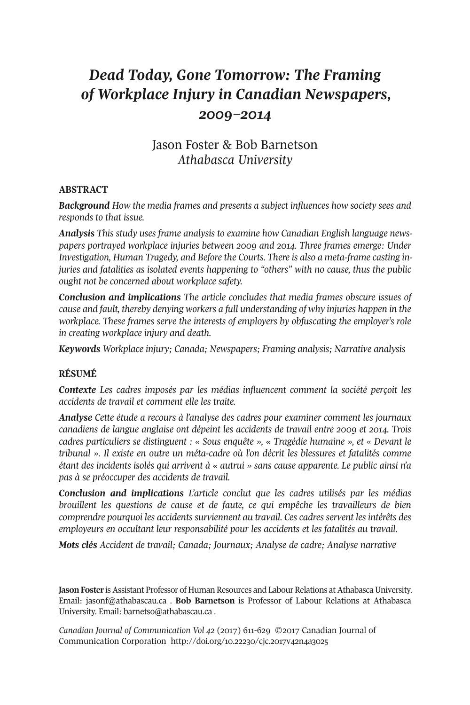# *Dead Today, Gone Tomorrow: The Framing of Workplace Injury in Canadian Newspapers, 2009–2014*

## Jason Foster & Bob Barnetson *Athabasca University*

#### **ABSTRACT**

*Background How the media frames and presents a subject influences how society sees and responds to that issue.*

*Analysis This study uses frame analysis to examine how Canadian English language newspapers portrayed workplace injuries between 2009 and 2014. Three frames emerge: Under Investigation, Human Tragedy, and Before the Courts. There is also a meta-frame casting injuries and fatalities as isolated events happening to "others" with no cause, thus the public ought not be concerned about workplace safety.*

*Conclusion and implications The article concludes that media frames obscure issues of cause and fault, thereby denying workers a full understanding of why injuries happen in the workplace. These frames serve the interests of employers by obfuscating the employer's role in creating workplace injury and death.*

*Keywords Workplace injury; Canada; Newspapers; Framing analysis; Narrative analysis*

### **RÉSUMÉ**

*Contexte Les cadres imposés par les médias influencent comment la société perçoit les accidents de travail et comment elle les traite.*

*Analyse Cette étude a recours à l'analyse des cadres pour examiner comment les journaux canadiens de langue anglaise ont dépeint les accidents de travail entre 2009 et 2014. Trois cadres particuliers se distinguent : « Sous enquête », « Tragédie humaine », et « Devant le tribunal ». Il existe en outre un méta-cadre où l'on décrit les blessures et fatalités comme étant des incidents isolés qui arrivent à « autrui » sans cause apparente. Le public ainsi n'a pas à se préoccuper des accidents de travail.*

*Conclusion and implications L'article conclut que les cadres utilisés par les médias brouillent les questions de cause et de faute, ce qui empêche les travailleurs de bien comprendre pourquoi les accidents surviennent au travail. Ces cadres servent les intérêts des employeurs en occultant leur responsabilité pour les accidents et les fatalités au travail.*

*Mots clés Accident de travail; Canada; Journaux; Analyse de cadre; Analyse narrative*

**Jason Foster** is Assistant Professor of Human Resources and Labour Relations at Athabasca University. Email: [jasonf@athabascau.ca](mailto:jasonf@athabascau.ca) . **Bob Barnetson** is Professor of Labour Relations at Athabasca University. Email: [barnetso@athabascau.ca](mailto:barnetso@athabascau.ca) .

*Canadian Journal of [Communication](http://www.cjc-online.ca) Vol 42* (2017) 611-629 ©2017 Canadian Journal of Communication Corporation <http://doi.org/10.22230/cjc.2017v42n4a3025>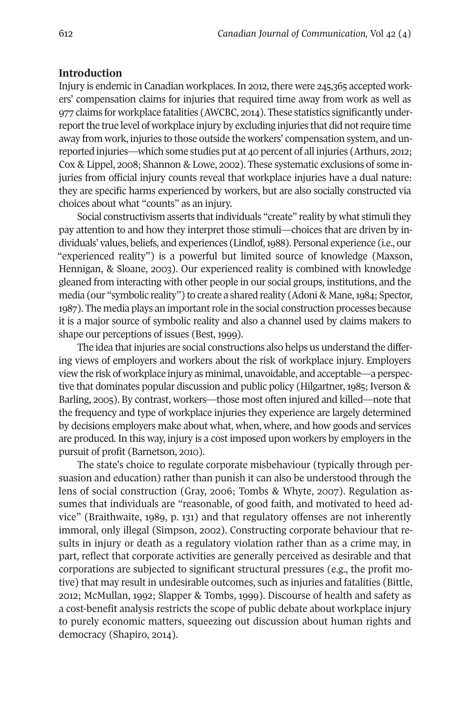#### **Introduction**

Injury is endemic in Canadian workplaces. In 2012, there were 245,365 accepted workers' compensation claims for injuries that required time away from work as well as 977 claims for workplace fatalities (AWCBC, 2014). These statistics significantly underreport the true level of workplace injury by excluding injuries that did not require time away from work, injuries to those outside the workers' compensation system, and unreported injuries—which some studies put at 40 percent of all injuries (Arthurs, 2012; Cox & Lippel, 2008; Shannon & Lowe, 2002). These systematic exclusions of some injuries from official injury counts reveal that workplace injuries have a dual nature: they are specific harms experienced by workers, but are also socially constructed via choices about what "counts" as an injury.

Social constructivism asserts that individuals "create" reality by what stimuli they pay attention to and how they interpret those stimuli—choices that are driven by individuals' values, beliefs, and experiences (Lindlof,1988). Personal experience (i.e., our "experienced reality") is a powerful but limited source of knowledge (Maxson, Hennigan, & Sloane, 2003). Our experienced reality is combined with knowledge gleaned from interacting with other people in our social groups, institutions, and the media (our "symbolic reality") to create a shared reality (Adoni & Mane,1984; Spector, 1987). The media plays an importantrole in the social construction processes because it is a major source of symbolic reality and also a channel used by claims makers to shape our perceptions of issues (Best, 1999).

The idea that injuries are social constructions also helps us understand the differing views of employers and workers about the risk of workplace injury. Employers view the risk of workplace injury as minimal, unavoidable, and acceptable—a perspective that dominates popular discussion and public policy (Hilgartner, 1985; Iverson & Barling, 2005). By contrast, workers—those most often injured and killed—note that the frequency and type of workplace injuries they experience are largely determined by decisions employers make about what, when, where, and how goods and services are produced. In this way, injury is a cost imposed upon workers by employers in the pursuit of profit (Barnetson, 2010).

The state's choice to regulate corporate misbehaviour (typically through persuasion and education) rather than punish it can also be understood through the lens of social construction (Gray, 2006; Tombs & Whyte, 2007). Regulation assumes that individuals are "reasonable, of good faith, and motivated to heed advice" (Braithwaite, 1989, p. 131) and that regulatory offenses are not inherently immoral, only illegal (Simpson, 2002). Constructing corporate behaviour that results in injury or death as a regulatory violation rather than as a crime may, in part, reflect that corporate activities are generally perceived as desirable and that corporations are subjected to significant structural pressures (e.g., the profit motive) that may result in undesirable outcomes, such as injuries and fatalities (Bittle, 2012; McMullan, 1992; Slapper & Tombs, 1999). Discourse of health and safety as a cost-benefit analysis restricts the scope of public debate about workplace injury to purely economic matters, squeezing out discussion about human rights and democracy (Shapiro, 2014).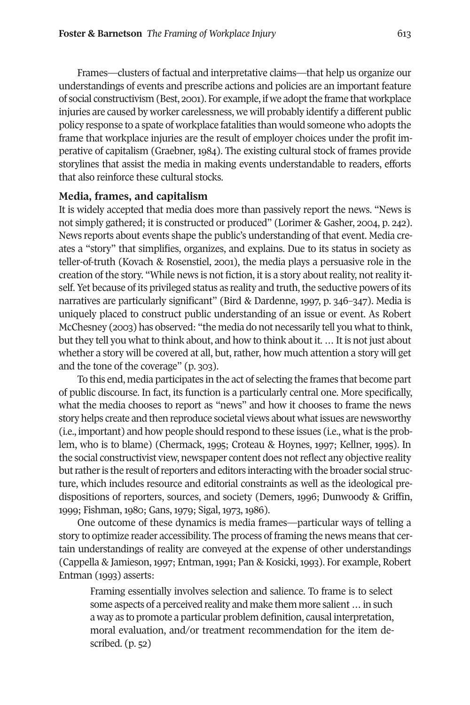Frames—clusters of factual and interpretative claims—that help us organize our understandings of events and prescribe actions and policies are an important feature of social constructivism (Best, 2001). For example, if we adoptthe frame that workplace injuries are caused by worker carelessness, we will probably identify a different public policy response to a spate of workplace fatalities than would someone who adopts the frame that workplace injuries are the result of employer choices under the profit imperative of capitalism (Graebner, 1984). The existing cultural stock of frames provide storylines that assist the media in making events understandable to readers, efforts that also reinforce these cultural stocks.

### **Media, frames, and capitalism**

It is widely accepted that media does more than passively report the news. "News is not simply gathered; it is constructed or produced" (Lorimer & Gasher, 2004, p. 242). News reports about events shape the public's understanding of that event. Media creates a "story" that simplifies, organizes, and explains. Due to its status in society as teller-of-truth (Kovach & Rosenstiel, 2001), the media plays a persuasive role in the creation of the story. "While news is not fiction, it is a story about reality, not reality itself. Yet because of its privileged status as reality and truth, the seductive powers of its narratives are particularly significant" (Bird & Dardenne, 1997, p. 346–347). Media is uniquely placed to construct public understanding of an issue or event. As Robert McChesney (2003) has observed: "the media do not necessarily tell you what to think, but they tell you what to think about, and how to think about it. … It is not just about whether a story will be covered at all, but, rather, how much attention a story will get and the tone of the coverage" (p. 303).

To this end, media participates in the act of selecting the frames that become part of public discourse. In fact, its function is a particularly central one. More specifically, what the media chooses to report as "news" and how it chooses to frame the news story helps create and then reproduce societal views about whatissues are newsworthy (i.e., important) and how people should respond to these issues (i.e., whatis the problem, who is to blame) (Chermack, 1995; Croteau & Hoynes, 1997; Kellner, 1995). In the social constructivist view, newspaper content does notreflect any objective reality but rather is the result of reporters and editors interacting with the broader social structure, which includes resource and editorial constraints as well as the ideological predispositions of reporters, sources, and society (Demers, 1996; Dunwoody & Griffin, 1999; Fishman, 1980; Gans, 1979; Sigal, 1973, 1986).

One outcome of these dynamics is media frames—particular ways of telling a story to optimize reader accessibility. The process of framing the news means that certain understandings of reality are conveyed at the expense of other understandings (Cappella & Jamieson,1997; Entman,1991; Pan & Kosicki,1993). For example, Robert Entman (1993) asserts:

Framing essentially involves selection and salience. To frame is to select some aspects of a perceived reality and make them more salient ... in such a way as to promote a particular problem definition, causal interpretation, moral evaluation, and/or treatment recommendation for the item described. (p. 52)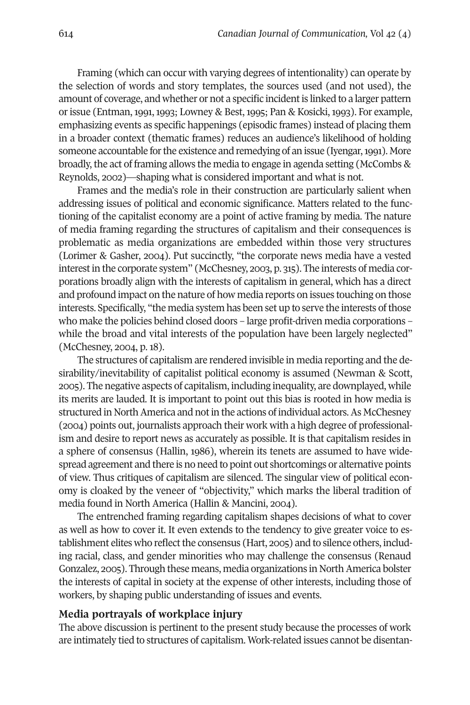Framing (which can occur with varying degrees of intentionality) can operate by the selection of words and story templates, the sources used (and not used), the amount of coverage, and whether or not a specific incidentis linked to a larger pattern orissue (Entman,1991,1993; Lowney & Best,1995; Pan & Kosicki,1993). For example, emphasizing events as specific happenings (episodic frames) instead of placing them in a broader context (thematic frames) reduces an audience's likelihood of holding someone accountable forthe existence and remedying of an issue (Iyengar,1991). More broadly, the act of framing allows the media to engage in agenda setting (McCombs & Reynolds, 2002)—shaping what is considered important and what is not.

Frames and the media's role in their construction are particularly salient when addressing issues of political and economic significance. Matters related to the functioning of the capitalist economy are a point of active framing by media. The nature of media framing regarding the structures of capitalism and their consequences is problematic as media organizations are embedded within those very structures (Lorimer & Gasher, 2004). Put succinctly, "the corporate news media have a vested interestin the corporate system" (McChesney, 2003, p. 315). The interests of media corporations broadly align with the interests of capitalism in general, which has a direct and profound impact on the nature of how media reports on issues touching on those interests. Specifically, "the media system has been set up to serve the interests ofthose who make the policies behind closed doors – large profit-driven media corporations – while the broad and vital interests of the population have been largely neglected" (McChesney, 2004, p. 18).

The structures of capitalism are rendered invisible in media reporting and the desirability/inevitability of capitalist political economy is assumed (Newman & Scott, 2005). The negative aspects of capitalism, including inequality, are downplayed, while its merits are lauded. It is important to point out this bias is rooted in how media is structured in North America and not in the actions of individual actors. As McChesney (2004) points out, journalists approach their work with a high degree of professionalism and desire to report news as accurately as possible. It is that capitalism resides in a sphere of consensus (Hallin, 1986), wherein its tenets are assumed to have widespread agreement and there is no need to point out shortcomings or alternative points of view. Thus critiques of capitalism are silenced. The singular view of political economy is cloaked by the veneer of "objectivity," which marks the liberal tradition of media found in North America (Hallin & Mancini, 2004).

The entrenched framing regarding capitalism shapes decisions of what to cover as well as how to cover it. It even extends to the tendency to give greater voice to establishment elites who reflect the consensus (Hart, 2005) and to silence others, including racial, class, and gender minorities who may challenge the consensus (Renaud Gonzalez, 2005). Through these means, media organizations in NorthAmerica bolster the interests of capital in society at the expense of other interests, including those of workers, by shaping public understanding of issues and events.

#### **Media portrayals of workplace injury**

The above discussion is pertinent to the present study because the processes of work are intimately tied to structures of capitalism. Work-related issues cannot be disentan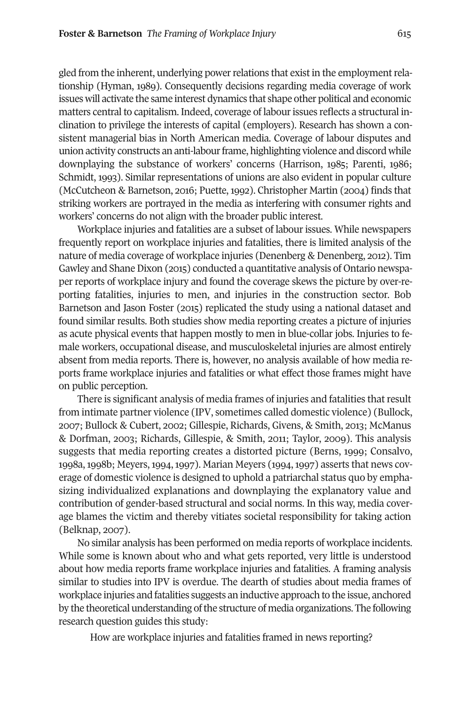gled from the inherent, underlying power relations that exist in the employment relationship (Hyman, 1989). Consequently decisions regarding media coverage of work issues will activate the same interest dynamics that shape other political and economic matters central to capitalism. Indeed, coverage of labour issues reflects a structural inclination to privilege the interests of capital (employers). Research has shown a consistent managerial bias in North American media. Coverage of labour disputes and union activity constructs an anti-labourframe, highlighting violence and discord while downplaying the substance of workers' concerns (Harrison, 1985; Parenti, 1986; Schmidt, 1993). Similar representations of unions are also evident in popular culture (McCutcheon & Barnetson, 2016; Puette, 1992). Christopher Martin (2004) finds that striking workers are portrayed in the media as interfering with consumer rights and workers' concerns do not align with the broader public interest.

Workplace injuries and fatalities are a subset of labour issues. While newspapers frequently report on workplace injuries and fatalities, there is limited analysis of the nature of media coverage of workplace injuries (Denenberg & Denenberg, 2012). Tim Gawley and Shane Dixon (2015) conducted a quantitative analysis of Ontario newspaper reports of workplace injury and found the coverage skews the picture by over-reporting fatalities, injuries to men, and injuries in the construction sector. Bob Barnetson and Jason Foster (2015) replicated the study using a national dataset and found similar results. Both studies show media reporting creates a picture of injuries as acute physical events that happen mostly to men in blue-collar jobs. Injuries to female workers, occupational disease, and musculoskeletal injuries are almost entirely absent from media reports. There is, however, no analysis available of how media reports frame workplace injuries and fatalities or what effect those frames might have on public perception.

There is significant analysis of media frames of injuries and fatalities that result from intimate partner violence (IPV, sometimes called domestic violence) (Bullock, 2007; Bullock & Cubert, 2002; Gillespie, Richards, Givens, & Smith, 2013; McManus & Dorfman, 2003; Richards, Gillespie, & Smith, 2011; Taylor, 2009). This analysis suggests that media reporting creates a distorted picture (Berns, 1999; Consalvo, 1998a,1998b; Meyers,1994,1997). Marian Meyers (1994,1997) asserts that news coverage of domestic violence is designed to uphold a patriarchal status quo by emphasizing individualized explanations and downplaying the explanatory value and contribution of gender-based structural and social norms. In this way, media coverage blames the victim and thereby vitiates societal responsibility for taking action (Belknap, 2007).

No similar analysis has been performed on media reports of workplace incidents. While some is known about who and what gets reported, very little is understood about how media reports frame workplace injuries and fatalities. A framing analysis similar to studies into IPV is overdue. The dearth of studies about media frames of workplace injuries and fatalities suggests an inductive approach to the issue, anchored by the theoretical understanding of the structure of media organizations. The following research question guides this study:

How are workplace injuries and fatalities framed in news reporting?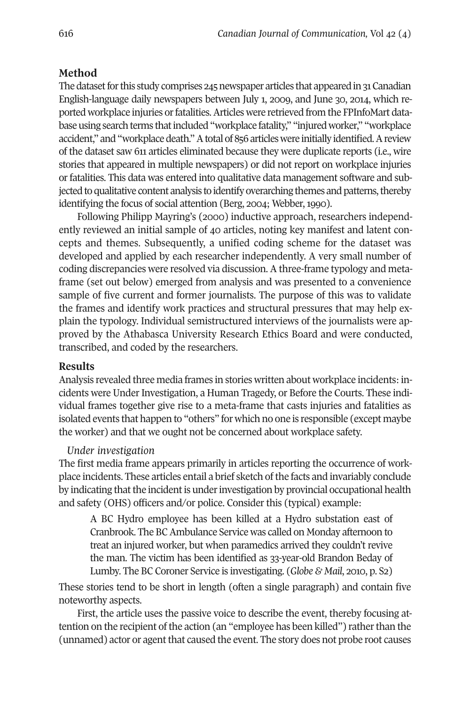## **Method**

The dataset for this study comprises  $245$  newspaper articles that appeared in  $31$  Canadian English-language daily newspapers between July 1, 2009, and June 30, 2014, which reported workplace injuries or fatalities. Articles were retrieved from the FPInfoMart database using search terms that included "workplace fatality," "injured worker," "workplace accident," and "workplace death." A total of 856 articles were initially identified. A review of the dataset saw 611 articles eliminated because they were duplicate reports (i.e., wire stories that appeared in multiple newspapers) or did not report on workplace injuries orfatalities. This data was entered into qualitative data management software and subjected to qualitative content analysis to identify overarching themes and patterns, thereby identifying the focus of social attention (Berg, 2004; Webber,1990).

Following Philipp Mayring's (2000) inductive approach, researchers independently reviewed an initial sample of 40 articles, noting key manifest and latent concepts and themes. Subsequently, a unified coding scheme for the dataset was developed and applied by each researcher independently. A very small number of coding discrepancies were resolved via discussion. A three-frame typology and metaframe (set out below) emerged from analysis and was presented to a convenience sample of five current and former journalists. The purpose of this was to validate the frames and identify work practices and structural pressures that may help explain the typology. Individual semistructured interviews of the journalists were approved by the Athabasca University Research Ethics Board and were conducted, transcribed, and coded by the researchers.

## **Results**

Analysis revealed three media frames in stories written about workplace incidents: incidents were Under Investigation, a Human Tragedy, or Before the Courts. These individual frames together give rise to a meta-frame that casts injuries and fatalities as isolated events that happen to "others" for which no one is responsible (except maybe the worker) and that we ought not be concerned about workplace safety.

### *Under investigation*

The first media frame appears primarily in articles reporting the occurrence of workplace incidents. These articles entail a brief sketch ofthe facts and invariably conclude by indicating that the incident is under investigation by provincial occupational health and safety (OHS) officers and/or police. Consider this (typical) example:

A BC Hydro employee has been killed at a Hydro substation east of Cranbrook. The BC Ambulance Service was called on Monday afternoon to treat an injured worker, but when paramedics arrived they couldn't revive the man. The victim has been identified as 33-year-old Brandon Beday of Lumby. The BC Coroner Service is investigating. (*Globe & Mail*, 2010, p. S2)

These stories tend to be short in length (often a single paragraph) and contain five noteworthy aspects.

First, the article uses the passive voice to describe the event, thereby focusing attention on the recipient of the action (an "employee has been killed") rather than the (unnamed) actor or agent that caused the event. The story does not probe root causes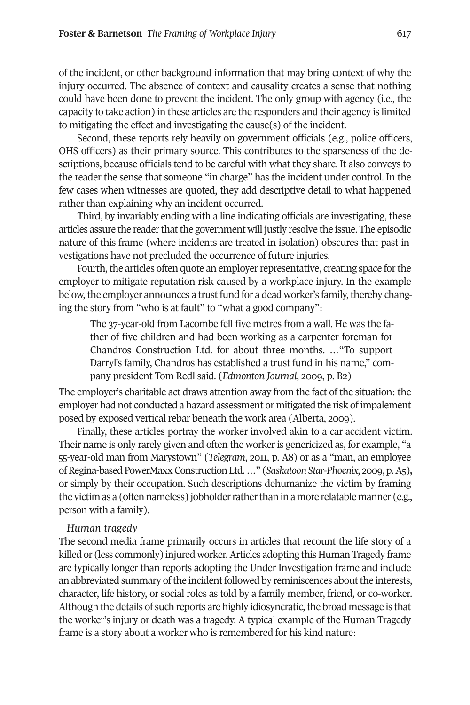of the incident, or other background information that may bring context of why the injury occurred. The absence of context and causality creates a sense that nothing could have been done to prevent the incident. The only group with agency (i.e., the capacity to take action) in these articles are the responders and their agency is limited to mitigating the effect and investigating the cause(s) of the incident.

Second, these reports rely heavily on government officials (e.g., police officers, OHS officers) as their primary source. This contributes to the sparseness of the descriptions, because officials tend to be careful with what they share. It also conveys to the reader the sense that someone "in charge" has the incident under control. In the few cases when witnesses are quoted, they add descriptive detail to what happened rather than explaining why an incident occurred.

Third, by invariably ending with a line indicating officials are investigating, these articles assure the reader that the government will justly resolve the issue. The episodic nature of this frame (where incidents are treated in isolation) obscures that past investigations have not precluded the occurrence of future injuries.

Fourth, the articles often quote an employer representative, creating space for the employer to mitigate reputation risk caused by a workplace injury. In the example below, the employer announces a trust fund for a dead worker's family, thereby changing the story from "who is at fault" to "what a good company":

The 37-year-old from Lacombe fell five metres from a wall. He was the father of five children and had been working as a carpenter foreman for Chandros Construction Ltd. for about three months. …"To support Darryl's family, Chandros has established a trust fund in his name," company president Tom Redl said. (*Edmonton Journal*, 2009, p. B2)

The employer's charitable act draws attention away from the fact of the situation: the employer had not conducted a hazard assessment or mitigated the risk of impalement posed by exposed vertical rebar beneath the work area (Alberta, 2009).

Finally, these articles portray the worker involved akin to a car accident victim. Their name is only rarely given and often the worker is genericized as, for example, "a 55-year-old man from Marystown" (*Telegram*, 2011, p. A8) or as a "man, an employee ofRegina-based PowerMaxxConstructionLtd.…" (*Saskatoon Star-Phoenix*, 2009, p.A5)**,** or simply by their occupation. Such descriptions dehumanize the victim by framing the victim as a (often nameless) jobholder rather than in a more relatable manner (e.g., person with a family).

### *Human tragedy*

The second media frame primarily occurs in articles that recount the life story of a killed or (less commonly) injured worker.Articles adopting this Human Tragedy frame are typically longer than reports adopting the Under Investigation frame and include an abbreviated summary of the incident followed by reminiscences about the interests, character, life history, or social roles as told by a family member, friend, or co-worker. Although the details of such reports are highly idiosyncratic, the broad message is that the worker's injury or death was a tragedy. A typical example of the Human Tragedy frame is a story about a worker who is remembered for his kind nature: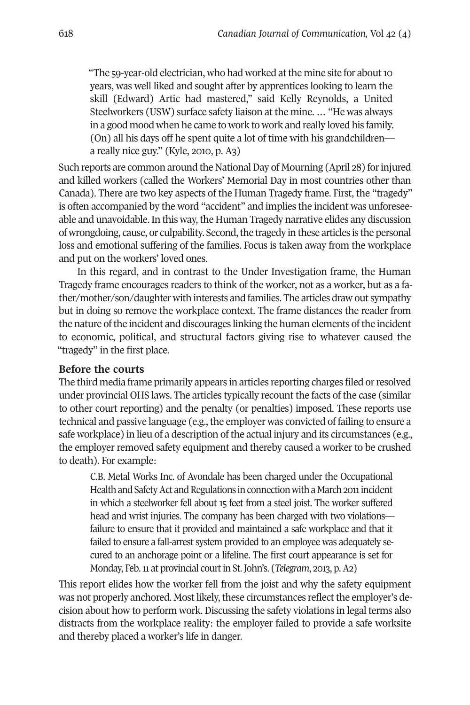"The 59-year-old electrician, who had worked at the mine site for about 10 years, was well liked and sought after by apprentices looking to learn the skill (Edward) Artic had mastered," said Kelly Reynolds, a United Steelworkers (USW) surface safety liaison at the mine. … "He was always in a good mood when he came to work to work and really loved his family. (On) all his days off he spent quite a lot of time with his grandchildren a really nice guy." (Kyle, 2010, p. A3)

Such reports are common around the National Day of Mourning (April 28) for injured and killed workers (called the Workers' Memorial Day in most countries other than Canada). There are two key aspects of the Human Tragedy frame. First, the "tragedy" is often accompanied by the word "accident" and implies the incident was unforeseeable and unavoidable. In this way, the Human Tragedy narrative elides any discussion of wrongdoing, cause, or culpability. Second,the tragedy in these articles is the personal loss and emotional suffering of the families. Focus is taken away from the workplace and put on the workers' loved ones.

In this regard, and in contrast to the Under Investigation frame, the Human Tragedy frame encourages readers to think of the worker, not as a worker, but as a father/mother/son/daughter with interests and families. The articles draw out sympathy but in doing so remove the workplace context. The frame distances the reader from the nature ofthe incident and discourages linking the human elements ofthe incident to economic, political, and structural factors giving rise to whatever caused the "tragedy" in the first place.

### **Before the courts**

The third media frame primarily appears in articles reporting charges filed orresolved under provincial OHS laws. The articles typically recount the facts of the case (similar to other court reporting) and the penalty (or penalties) imposed. These reports use technical and passive language (e.g., the employer was convicted of failing to ensure a safe workplace) in lieu of a description of the actual injury and its circumstances (e.g., the employer removed safety equipment and thereby caused a worker to be crushed to death). For example:

C.B. Metal Works Inc. of Avondale has been charged under the Occupational Health and Safety Act and Regulations in connection with a March 2011 incident in which a steelworker fell about 15 feet from a steel joist. The worker suffered head and wrist injuries. The company has been charged with two violations failure to ensure that it provided and maintained a safe workplace and that it failed to ensure a fall-arrest system provided to an employee was adequately secured to an anchorage point or a lifeline. The first court appearance is set for Monday, Feb.11 at provincial court in St. John's. (*Telegram*, 2013, p.A2)

This report elides how the worker fell from the joist and why the safety equipment was not properly anchored. Most likely, these circumstances reflect the employer's decision about how to perform work. Discussing the safety violations in legal terms also distracts from the workplace reality: the employer failed to provide a safe worksite and thereby placed a worker's life in danger.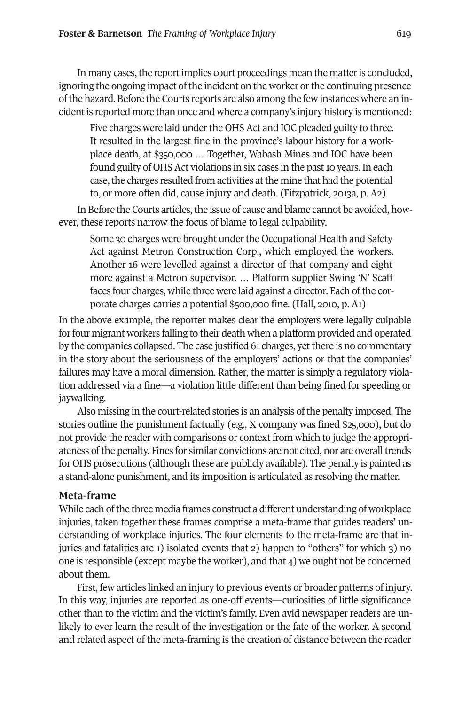In many cases, the report implies court proceedings mean the matter is concluded, ignoring the ongoing impact of the incident on the worker or the continuing presence ofthe hazard. Before the Courts reports are also among the few instances where an incidentis reported more than once and where a company's injury history is mentioned:

Five charges were laid under the OHS Act and IOC pleaded guilty to three. It resulted in the largest fine in the province's labour history for a workplace death, at \$350,000 … Together, Wabash Mines and IOC have been found guilty of OHS Act violations in six cases in the past 10 years. In each case, the charges resulted from activities at the mine that had the potential to, or more often did, cause injury and death. (Fitzpatrick, 2013a, p. A2)

In Before the Courts articles, the issue of cause and blame cannot be avoided, however, these reports narrow the focus of blame to legal culpability.

Some 30 charges were brought under the Occupational Health and Safety Act against Metron Construction Corp., which employed the workers. Another 16 were levelled against a director of that company and eight more against a Metron supervisor. … Platform supplier Swing 'N' Scaff faces four charges, while three were laid against a director. Each of the corporate charges carries a potential \$500,000 fine. (Hall, 2010, p. A1)

In the above example, the reporter makes clear the employers were legally culpable forfour migrant workers falling to their death when a platform provided and operated by the companies collapsed. The case justified 61 charges, yetthere is no commentary in the story about the seriousness of the employers' actions or that the companies' failures may have a moral dimension. Rather, the matter is simply a regulatory violation addressed via a fine—a violation little different than being fined for speeding or jaywalking.

Also missing in the court-related stories is an analysis of the penalty imposed. The stories outline the punishment factually (e.g., X company was fined \$25,000), but do not provide the reader with comparisons or context from which to judge the appropriateness of the penalty. Fines for similar convictions are not cited, nor are overall trends for OHS prosecutions (although these are publicly available). The penalty is painted as a stand-alone punishment, and its imposition is articulated as resolving the matter.

#### **Meta-frame**

While each of the three media frames construct a different understanding of workplace injuries, taken together these frames comprise a meta-frame that guides readers' understanding of workplace injuries. The four elements to the meta-frame are that injuries and fatalities are 1) isolated events that 2) happen to "others" for which 3) no one is responsible (except maybe the worker), and that 4) we ought not be concerned about them.

First, few articles linked an injury to previous events or broader patterns of injury. In this way, injuries are reported as one-off events—curiosities of little significance other than to the victim and the victim's family. Even avid newspaper readers are unlikely to ever learn the result of the investigation or the fate of the worker. A second and related aspect of the meta-framing is the creation of distance between the reader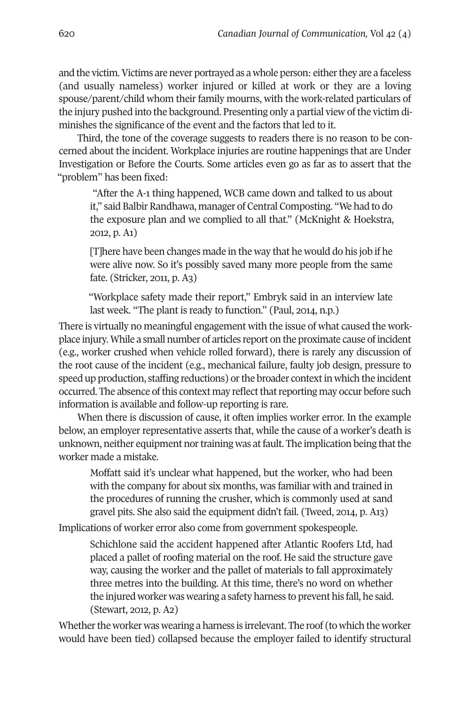and the victim. Victims are never portrayed as a whole person: either they are a faceless (and usually nameless) worker injured or killed at work or they are a loving spouse/parent/child whom their family mourns, with the work-related particulars of the injury pushed into the background. Presenting only a partial view of the victim diminishes the significance of the event and the factors that led to it.

Third, the tone of the coverage suggests to readers there is no reason to be concerned about the incident. Workplace injuries are routine happenings that are Under Investigation or Before the Courts. Some articles even go as far as to assert that the "problem" has been fixed:

"After the A-1 thing happened, WCB came down and talked to us about it," said Balbir Randhawa, manager of Central Composting. "We had to do the exposure plan and we complied to all that." (McKnight & Hoekstra, 2012, p. A1)

[T]here have been changes made in the way that he would do his job if he were alive now. So it's possibly saved many more people from the same fate. (Stricker, 2011, p. A3)

"Workplace safety made their report," Embryk said in an interview late last week. "The plant is ready to function." (Paul, 2014, n.p.)

There is virtually no meaningful engagement with the issue of what caused the workplace injury. While a small number of articles report on the proximate cause ofincident (e.g., worker crushed when vehicle rolled forward), there is rarely any discussion of the root cause of the incident (e.g., mechanical failure, faulty job design, pressure to speed up production, staffing reductions) orthe broader contextin which the incident occurred. The absence of this context may reflect that reporting may occur before such information is available and follow-up reporting is rare.

When there is discussion of cause, it often implies worker error. In the example below, an employer representative asserts that, while the cause of a worker's death is unknown, neither equipment nor training was at fault. The implication being that the worker made a mistake.

Moffatt said it's unclear what happened, but the worker, who had been with the company for about six months, was familiar with and trained in the procedures of running the crusher, which is commonly used at sand gravel pits. She also said the equipment didn't fail. (Tweed, 2014, p. A13)

Implications of worker error also come from government spokespeople.

Schichlone said the accident happened after Atlantic Roofers Ltd, had placed a pallet of roofing material on the roof. He said the structure gave way, causing the worker and the pallet of materials to fall approximately three metres into the building. At this time, there's no word on whether the injured worker was wearing a safety harness to prevent his fall, he said. (Stewart, 2012, p. A2)

Whether the worker was wearing a harness is irrelevant. The roof (to which the worker would have been tied) collapsed because the employer failed to identify structural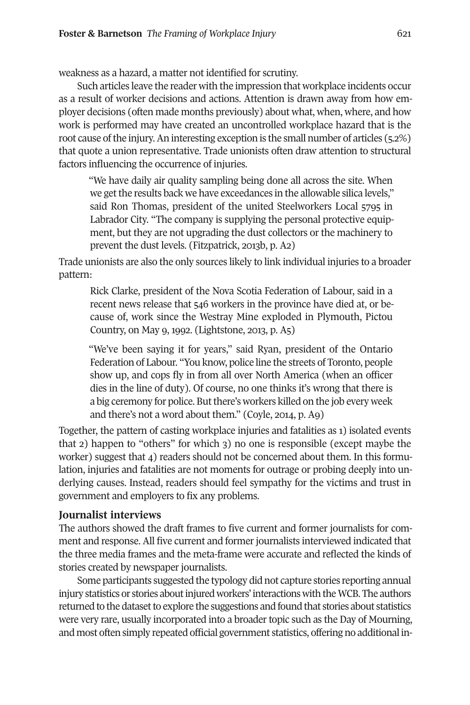weakness as a hazard, a matter not identified for scrutiny.

Such articles leave the reader with the impression that workplace incidents occur as a result of worker decisions and actions. Attention is drawn away from how employer decisions (often made months previously) about what, when, where, and how work is performed may have created an uncontrolled workplace hazard that is the root cause of the injury. An interesting exception is the small number of articles (5.2%) that quote a union representative. Trade unionists often draw attention to structural factors influencing the occurrence of injuries.

"We have daily air quality sampling being done all across the site. When we get the results back we have exceedances in the allowable silica levels," said Ron Thomas, president of the united Steelworkers Local 5795 in Labrador City. "The company is supplying the personal protective equipment, but they are not upgrading the dust collectors or the machinery to prevent the dust levels. (Fitzpatrick, 2013b, p. A2)

Trade unionists are also the only sources likely to link individual injuries to a broader pattern:

Rick Clarke, president of the Nova Scotia Federation of Labour, said in a recent news release that 546 workers in the province have died at, or because of, work since the Westray Mine exploded in Plymouth, Pictou Country, on May 9, 1992. (Lightstone, 2013, p. A5)

"We've been saying it for years," said Ryan, president of the Ontario Federation of Labour. "You know, police line the streets of Toronto, people show up, and cops fly in from all over North America (when an officer dies in the line of duty). Of course, no one thinks it's wrong that there is a big ceremony for police. But there's workers killed on the job every week and there's not a word about them." (Coyle, 2014, p. A9)

Together, the pattern of casting workplace injuries and fatalities as 1) isolated events that 2) happen to "others" for which 3) no one is responsible (except maybe the worker) suggest that  $\phi$  readers should not be concerned about them. In this formulation, injuries and fatalities are not moments for outrage or probing deeply into underlying causes. Instead, readers should feel sympathy for the victims and trust in government and employers to fix any problems.

## **Journalist interviews**

The authors showed the draft frames to five current and former journalists for comment and response. All five current and formerjournalists interviewed indicated that the three media frames and the meta-frame were accurate and reflected the kinds of stories created by newspaper journalists.

Some participants suggested the typology did not capture stories reporting annual injury statistics or stories aboutinjuredworkers' interactionswiththeWCB.The authors returned to the dataset to explore the suggestions and found that stories about statistics were very rare, usually incorporated into a broader topic such as the Day of Mourning, and most often simply repeated official government statistics, offering no additional in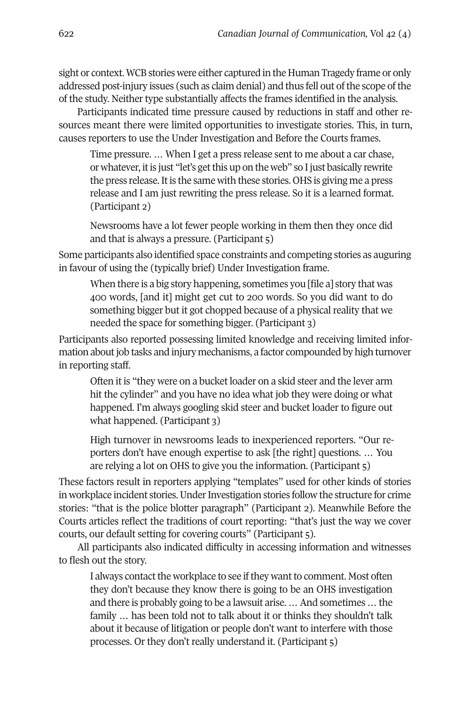sight or context. WCB stories were either captured in the Human Tragedy frame or only addressed post-injury issues (such as claim denial) and thus fell out of the scope of the of the study. Neither type substantially affects the frames identified in the analysis.

Participants indicated time pressure caused by reductions in staff and other resources meant there were limited opportunities to investigate stories. This, in turn, causes reporters to use the Under Investigation and Before the Courts frames.

Time pressure. … When I get a press release sent to me about a car chase, or whatever, it is just "let's get this up on the web" so I just basically rewrite the press release. It is the same with these stories. OHS is giving me a press release and I am just rewriting the press release. So it is a learned format. (Participant 2)

Newsrooms have a lot fewer people working in them then they once did and that is always a pressure. (Participant 5)

Some participants also identified space constraints and competing stories as auguring in favour of using the (typically brief) Under Investigation frame.

When there is a big story happening, sometimes you [file a] story that was 400 words, [and it] might get cut to 200 words. So you did want to do something bigger but it got chopped because of a physical reality that we needed the space for something bigger. (Participant 3)

Participants also reported possessing limited knowledge and receiving limited information about job tasks and injury mechanisms, a factor compounded by high turnover in reporting staff.

Often it is "they were on a bucket loader on a skid steer and the lever arm hit the cylinder" and you have no idea what job they were doing or what happened. I'm always googling skid steer and bucket loader to figure out what happened. (Participant 3)

High turnover in newsrooms leads to inexperienced reporters. "Our reporters don't have enough expertise to ask [the right] questions. … You are relying a lot on OHS to give you the information. (Participant 5)

These factors result in reporters applying "templates" used for other kinds of stories in workplace incident stories. Under Investigation stories follow the structure for crime stories: "that is the police blotter paragraph" (Participant 2). Meanwhile Before the Courts articles reflect the traditions of court reporting: "that's just the way we cover courts, our default setting for covering courts" (Participant 5).

All participants also indicated difficulty in accessing information and witnesses to flesh out the story.

I always contact the workplace to see if they want to comment. Most often they don't because they know there is going to be an OHS investigation and there is probably going to be a lawsuit arise. … And sometimes … the family … has been told not to talk about it or thinks they shouldn't talk about it because of litigation or people don't want to interfere with those processes. Or they don't really understand it. (Participant 5)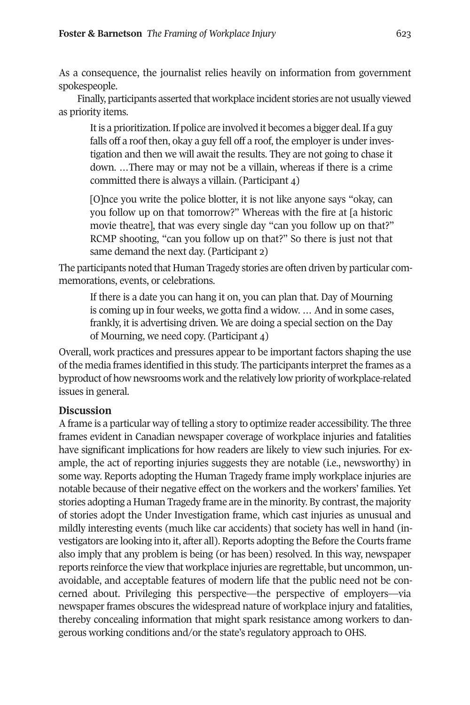As a consequence, the journalist relies heavily on information from government spokespeople.

Finally, participants asserted that workplace incident stories are not usually viewed as priority items.

It is a prioritization. If police are involved it becomes a bigger deal. If a guy falls off a roof then, okay a guy fell off a roof, the employer is under investigation and then we will await the results. They are not going to chase it down. …There may or may not be a villain, whereas if there is a crime committed there is always a villain. (Participant 4)

[O]nce you write the police blotter, it is not like anyone says "okay, can you follow up on that tomorrow?" Whereas with the fire at [a historic movie theatre], that was every single day "can you follow up on that?" RCMP shooting, "can you follow up on that?" So there is just not that same demand the next day. (Participant 2)

The participants noted that Human Tragedy stories are often driven by particular commemorations, events, or celebrations.

If there is a date you can hang it on, you can plan that. Day of Mourning is coming up in four weeks, we gotta find a widow. … And in some cases, frankly, it is advertising driven. We are doing a special section on the Day of Mourning, we need copy. (Participant 4)

Overall, work practices and pressures appear to be important factors shaping the use of the media frames identified in this study. The participants interpret the frames as a byproduct of how newsrooms work and the relatively low priority of workplace-related issues in general.

## **Discussion**

A frame is a particular way of telling a story to optimize reader accessibility. The three frames evident in Canadian newspaper coverage of workplace injuries and fatalities have significant implications for how readers are likely to view such injuries. For example, the act of reporting injuries suggests they are notable (i.e., newsworthy) in some way. Reports adopting the Human Tragedy frame imply workplace injuries are notable because of their negative effect on the workers and the workers' families. Yet stories adopting a Human Tragedy frame are in the minority. By contrast, the majority of stories adopt the Under Investigation frame, which cast injuries as unusual and mildly interesting events (much like car accidents) that society has well in hand (investigators are looking into it, after all). Reports adopting the Before the Courts frame also imply that any problem is being (or has been) resolved. In this way, newspaper reports reinforce the view that workplace injuries are regrettable, but uncommon, unavoidable, and acceptable features of modern life that the public need not be concerned about. Privileging this perspective—the perspective of employers—via newspaper frames obscures the widespread nature of workplace injury and fatalities, thereby concealing information that might spark resistance among workers to dangerous working conditions and/or the state's regulatory approach to OHS.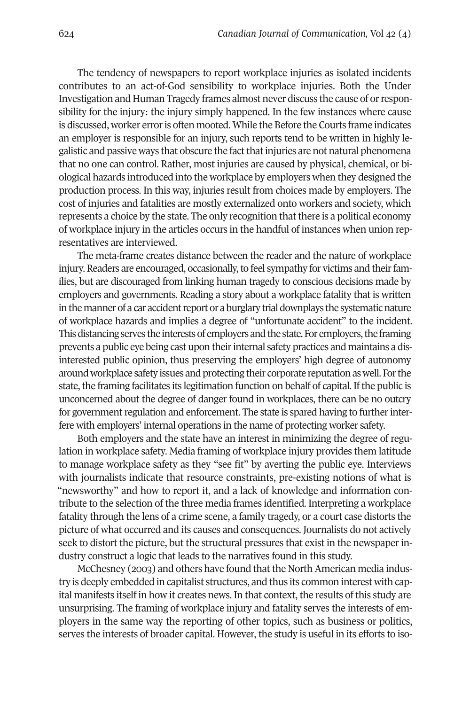The tendency of newspapers to report workplace injuries as isolated incidents contributes to an act-of-God sensibility to workplace injuries. Both the Under Investigation and Human Tragedy frames almost never discuss the cause of orresponsibility for the injury: the injury simply happened. In the few instances where cause is discussed, worker error is often mooted. While the Before the Courts frame indicates an employer is responsible for an injury, such reports tend to be written in highly legalistic and passive ways that obscure the factthatinjuries are not natural phenomena that no one can control. Rather, most injuries are caused by physical, chemical, or biological hazards introduced into the workplace by employers when they designed the production process. In this way, injuries result from choices made by employers. The cost of injuries and fatalities are mostly externalized onto workers and society, which represents a choice by the state. The only recognition that there is a political economy of workplace injury in the articles occurs in the handful of instances when union representatives are interviewed.

The meta-frame creates distance between the reader and the nature of workplace injury. Readers are encouraged, occasionally, to feel sympathy for victims and their families, but are discouraged from linking human tragedy to conscious decisions made by employers and governments. Reading a story about a workplace fatality that is written in the manner of a car accident report or a burglary trial downplays the systematic nature of workplace hazards and implies a degree of "unfortunate accident" to the incident. This distancing serves the interests of employers and the state. For employers, the framing prevents a public eye being cast upon their internal safety practices and maintains a disinterested public opinion, thus preserving the employers' high degree of autonomy around workplace safety issues and protecting their corporate reputation as well. For the state, the framing facilitates its legitimation function on behalf of capital. If the public is unconcerned about the degree of danger found in workplaces, there can be no outcry for government regulation and enforcement. The state is spared having to further interfere with employers' internal operations in the name of protecting worker safety.

Both employers and the state have an interest in minimizing the degree of regulation in workplace safety. Media framing of workplace injury provides them latitude to manage workplace safety as they "see fit" by averting the public eye. Interviews with journalists indicate that resource constraints, pre-existing notions of what is "newsworthy" and how to report it, and a lack of knowledge and information contribute to the selection of the three media frames identified. Interpreting a workplace fatality through the lens of a crime scene, a family tragedy, or a court case distorts the picture of what occurred and its causes and consequences. Journalists do not actively seek to distort the picture, but the structural pressures that exist in the newspaper industry construct a logic that leads to the narratives found in this study.

McChesney (2003) and others have found that the North American media industry is deeply embedded in capitalist structures, and thus its common interest with capital manifests itself in how it creates news. In that context, the results of this study are unsurprising. The framing of workplace injury and fatality serves the interests of employers in the same way the reporting of other topics, such as business or politics, serves the interests of broader capital. However, the study is useful in its efforts to iso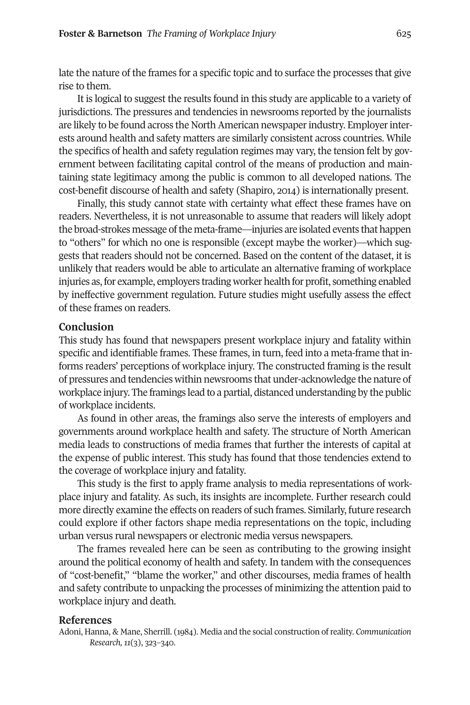late the nature of the frames for a specific topic and to surface the processes that give rise to them.

It is logical to suggest the results found in this study are applicable to a variety of jurisdictions. The pressures and tendencies in newsrooms reported by the journalists are likely to be found across the North American newspaperindustry. Employerinterests around health and safety matters are similarly consistent across countries. While the specifics of health and safety regulation regimes may vary, the tension felt by government between facilitating capital control of the means of production and maintaining state legitimacy among the public is common to all developed nations. The cost-benefit discourse of health and safety (Shapiro, 2014) is internationally present.

Finally, this study cannot state with certainty what effect these frames have on readers. Nevertheless, it is not unreasonable to assume that readers will likely adopt the broad-strokes message ofthe meta-frame—injuries are isolated events that happen to "others" for which no one is responsible (except maybe the worker)—which suggests that readers should not be concerned. Based on the content of the dataset, it is unlikely that readers would be able to articulate an alternative framing of workplace injuries as,for example, employers trading worker health for profit, something enabled by ineffective government regulation. Future studies might usefully assess the effect of these frames on readers.

#### **Conclusion**

This study has found that newspapers present workplace injury and fatality within specific and identifiable frames. These frames, in turn, feed into a meta-frame that informs readers' perceptions of workplace injury. The constructed framing is the result of pressures and tendencies within newsrooms that under-acknowledge the nature of workplace injury. The framings lead to a partial, distanced understanding by the public of workplace incidents.

As found in other areas, the framings also serve the interests of employers and governments around workplace health and safety. The structure of North American media leads to constructions of media frames that further the interests of capital at the expense of public interest. This study has found that those tendencies extend to the coverage of workplace injury and fatality.

This study is the first to apply frame analysis to media representations of workplace injury and fatality. As such, its insights are incomplete. Further research could more directly examine the effects on readers of such frames. Similarly, future research could explore if other factors shape media representations on the topic, including urban versus rural newspapers or electronic media versus newspapers.

The frames revealed here can be seen as contributing to the growing insight around the political economy of health and safety. In tandem with the consequences of "cost-benefit," "blame the worker," and other discourses, media frames of health and safety contribute to unpacking the processes of minimizing the attention paid to workplace injury and death.

#### **References**

Adoni, Hanna, & Mane, Sherrill. (1984). Media and the social construction ofreality. *Communication Research, 11*(3), 323–340.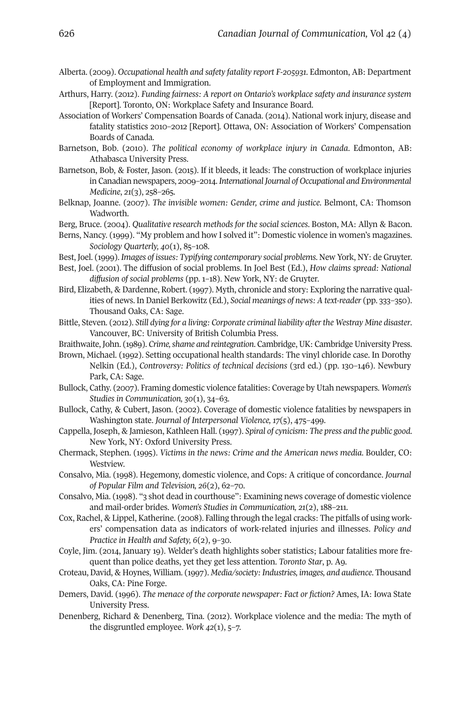- Alberta. (2009). *Occupational health and safety fatality report F-205931*. Edmonton, AB: Department of Employment and Immigration.
- Arthurs, Harry. (2012). *Funding fairness: A report on Ontario's workplace safety and insurance system* [Report]. Toronto, ON: Workplace Safety and Insurance Board.
- Association of Workers' Compensation Boards of Canada. (2014). National work injury, disease and fatality statistics 2010–2012 [Report]. Ottawa, ON: Association of Workers' Compensation Boards of Canada.
- Barnetson, Bob. (2010). *The political economy of workplace injury in Canada*. Edmonton, AB: Athabasca University Press.
- Barnetson, Bob, & Foster, Jason. (2015). If it bleeds, it leads: The construction of workplace injuries in Canadian newspapers, 2009–2014. *International Journal of Occupational and Environmental Medicine*, *21*(3), 258–265.
- Belknap, Joanne. (2007). *The invisible women: Gender, crime and justice*. Belmont, CA: Thomson Wadworth.
- Berg, Bruce. (2004). *Qualitative research methods for the social sciences*. Boston, MA: Allyn & Bacon.
- Berns, Nancy. (1999). "My problem and how I solved it": Domestic violence in women's magazines. *Sociology Quarterly, 40*(1), 85–108.
- Best, Joel. (1999). *Images of issues: Typifying contemporary social problems*. New York, NY: de Gruyter.
- Best, Joel. (2001). The diffusion of social problems. In Joel Best (Ed.), *How claims spread: National diffusion of social problems* (pp. 1–18). New York, NY: de Gruyter.
- Bird, Elizabeth, & Dardenne, Robert. (1997). Myth, chronicle and story: Exploring the narrative qualities of news. In Daniel Berkowitz (Ed.), *Social meanings of news: A text-reader* (pp. 333–350). Thousand Oaks, CA: Sage.
- Bittle, Steven. (2012). *Still dying for a living: Corporate criminal liability afterthe Westray Mine disaster*. Vancouver, BC: University of British Columbia Press.
- Braithwaite, John. (1989). *Crime, shame and reintegration*. Cambridge, UK: Cambridge University Press.
- Brown, Michael. (1992). Setting occupational health standards: The vinyl chloride case. In Dorothy Nelkin (Ed.), *Controversy: Politics of technical decisions* (3rd ed.) (pp. 130–146). Newbury Park, CA: Sage.
- Bullock, Cathy. (2007). Framing domestic violence fatalities: Coverage by Utah newspapers. *Women's Studies in Communication, 30*(1), 34–63.
- Bullock, Cathy, & Cubert, Jason. (2002). Coverage of domestic violence fatalities by newspapers in Washington state. *Journal of Interpersonal Violence, 17*(5), 475–499.
- Cappella, Joseph, & Jamieson, Kathleen Hall. (1997). *Spiral of cynicism: The press and the public good*. New York, NY: Oxford University Press.
- Chermack, Stephen. (1995). *Victims in the news: Crime and the American news media*. Boulder, CO: Westview.
- Consalvo, Mia. (1998). Hegemony, domestic violence, and Cops: A critique of concordance. *Journal of Popular Film and Television, 26*(2), 62–70.
- Consalvo, Mia. (1998). "3 shot dead in courthouse": Examining news coverage of domestic violence and mail-order brides. *Women's Studies in Communication, 21*(2), 188–211.
- Cox, Rachel, & Lippel, Katherine. (2008). Falling through the legal cracks: The pitfalls of using workers' compensation data as indicators of work-related injuries and illnesses. *Policy and Practice in Health and Safety, 6*(2), 9–30.
- Coyle, Jim. (2014, January 19). Welder's death highlights sober statistics; Labour fatalities more frequent than police deaths, yet they get less attention. *Toronto Star*, p. A9.
- Croteau, David, & Hoynes, William. (1997). *Media/society: Industries, images, and audience*. Thousand Oaks, CA: Pine Forge.
- Demers, David. (1996). *The menace of the corporate newspaper: Fact or fiction?* Ames, IA: Iowa State University Press.
- Denenberg, Richard & Denenberg, Tina. (2012). Workplace violence and the media: The myth of the disgruntled employee. *Work 42*(1), 5–7.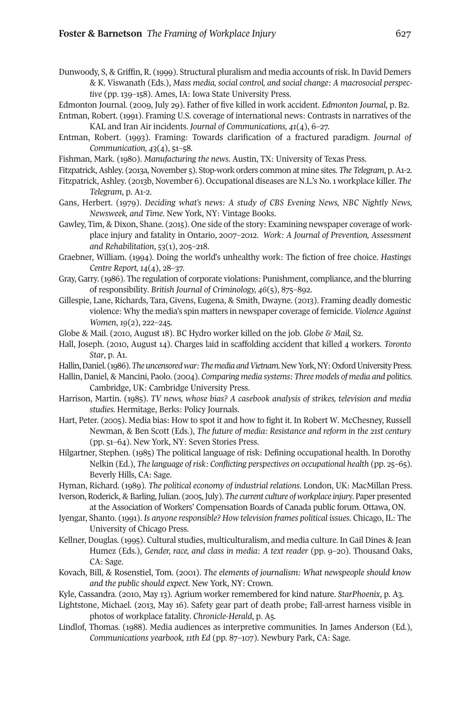Dunwoody, S, & Griffin, R. (1999). Structural pluralism and media accounts ofrisk. In David Demers & K. Viswanath (Eds.), *Mass media, social control, and social change: A macrosocial perspective* (pp. 139–158). Ames, IA: Iowa State University Press.

- Edmonton Journal. (2009, July 29). Father of five killed in work accident. *Edmonton Journal*, p. B2.
- Entman, Robert. (1991). Framing U.S. coverage of international news: Contrasts in narratives of the KAL and Iran Air incidents. *Journal of Communications, 41*(4), 6–27.
- Entman, Robert. (1993). Framing: Towards clarification of a fractured paradigm. *Journal of Communication, 43*(4), 51–58.
- Fishman, Mark. (1980). *Manufacturing the news*. Austin, TX: University of Texas Press.
- Fitzpatrick,Ashley. (2013a, November 5). Stop-work orders common at mine sites. *The Telegram*, p.A1-2.
- Fitzpatrick, Ashley. (2013b, November 6). Occupational diseases are N.L.'s No.1 workplace killer. *The Telegram*, p. A1-2.
- Gans, Herbert. (1979). *Deciding what's news: A study of CBS Evening News, NBC Nightly News, Newsweek, and Time*. New York, NY: Vintage Books.
- Gawley, Tim, & Dixon, Shane. (2015). One side of the story: Examining newspaper coverage of workplace injury and fatality in Ontario, 2007–2012. *Work: A Journal of Prevention, Assessment and Rehabilitation*, *53*(1), 205–218.
- Graebner, William. (1994). Doing the world's unhealthy work: The fiction of free choice. *Hastings Centre Report, 14*(4), 28–37.
- Gray, Garry. (1986). The regulation of corporate violations: Punishment, compliance, and the blurring of responsibility*. British Journal of Criminology, 46*(5), 875–892.
- Gillespie, Lane, Richards, Tara, Givens, Eugena, & Smith, Dwayne. (2013). Framing deadly domestic violence: Why the media's spin matters in newspaper coverage of femicide. *Violence Against Women*, *19*(2), 222–245.
- Globe & Mail. (2010, August 18). BC Hydro worker killed on the job. *Globe & Mail,* S2.
- Hall, Joseph. (2010, August 14). Charges laid in scaffolding accident that killed 4 workers. *Toronto Star*, p. A1.
- Hallin, Daniel. (1986). The uncensored war: The media and Vietnam. New York, NY: Oxford University Press.
- Hallin, Daniel, & Mancini, Paolo. (2004). *Comparing media systems: Three models of media and politics*. Cambridge, UK: Cambridge University Press.
- Harrison, Martin. (1985). *TV news, whose bias? A casebook analysis of strikes, television and media studies.* Hermitage, Berks: Policy Journals.
- Hart, Peter. (2005). Media bias: How to spot it and how to fight it. In Robert W. McChesney, Russell Newman, & Ben Scott (Eds.), *The future of media: Resistance and reform in the 21st century* (pp. 51–64). New York, NY: Seven Stories Press.
- Hilgartner, Stephen. (1985) The political language of risk: Defining occupational health. In Dorothy Nelkin (Ed.), *The language ofrisk: Conflicting perspectives on occupational health* (pp. 25–65). Beverly Hills, CA: Sage.
- Hyman, Richard. (1989). *The political economy of industrial relations*. London, UK: MacMillan Press.
- Iverson,Roderick, & Barling,Julian. (2005,July). *The current culture of workplace injur*y. Paper presented at the Association of Workers' Compensation Boards of Canada public forum. Ottawa, ON.
- Iyengar, Shanto. (1991). *Is anyone responsible? How television frames political issues*. Chicago, IL: The University of Chicago Press.
- Kellner, Douglas. (1995). Cultural studies, multiculturalism, and media culture. In Gail Dines & Jean Humez (Eds.), *Gender, race, and class in media: A text reader* (pp. 9–20). Thousand Oaks, CA: Sage.
- Kovach, Bill, & Rosenstiel, Tom. (2001). *The elements of journalism: What newspeople should know and the public should expect*. New York, NY: Crown.
- Kyle, Cassandra. (2010, May 13). Agrium worker remembered for kind nature. *StarPhoenix*, p. A3.
- Lightstone, Michael. (2013, May 16). Safety gear part of death probe; Fall-arrest harness visible in photos of workplace fatality. *Chronicle-Herald*, p. A5.
- Lindlof, Thomas. (1988). Media audiences as interpretive communities. In James Anderson (Ed.), *Communications yearbook, 11th Ed* (pp. 87–107). Newbury Park, CA: Sage.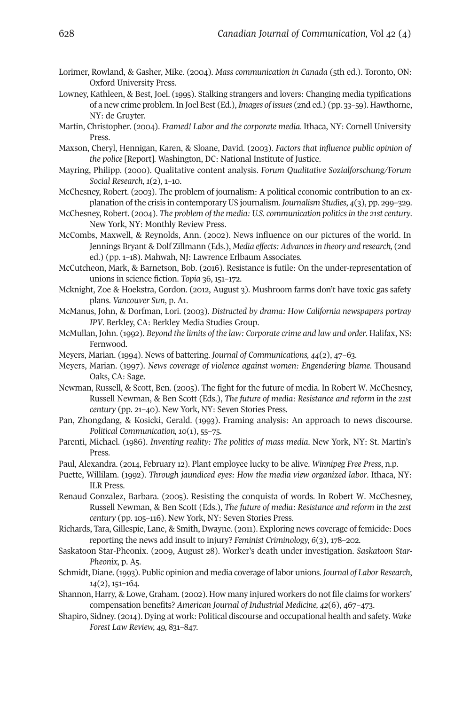- Lorimer, Rowland, & Gasher, Mike. (2004). *Mass communication in Canada* (5th ed.). Toronto, ON: Oxford University Press.
- Lowney, Kathleen, & Best, Joel. (1995). Stalking strangers and lovers: Changing media typifications of a new crime problem. In Joel Best (Ed.), *Images of issues* (2nd ed.) (pp. 33–59). Hawthorne, NY: de Gruyter.
- Martin, Christopher. (2004). *Framed! Labor and the corporate media*. Ithaca, NY: Cornell University Press.
- Maxson, Cheryl, Hennigan, Karen, & Sloane, David. (2003). *Factors that influence public opinion of the police* [Report]. Washington, DC: National Institute of Justice.
- Mayring, Philipp. (2000). Qualitative content analysis. *Forum Qualitative Sozialforschung/Forum Social Research, 1*(2), 1–10.
- McChesney, Robert. (2003). The problem of journalism: A political economic contribution to an explanation of the crisis in contemporary US journalism. *Journalism Studies*, *4*(3), pp. 299–329.
- McChesney, Robert. (2004). *The problem of the media: U.S. communication politicsin the 21st century*. New York, NY: Monthly Review Press.
- McCombs, Maxwell, & Reynolds, Ann. (2002). News influence on our pictures of the world. In Jennings Bryant & Dolf Zillmann (Eds.), *Media effects: Advancesin theory and research,* (2nd ed.) (pp. 1–18). Mahwah, NJ: Lawrence Erlbaum Associates.
- McCutcheon, Mark, & Barnetson, Bob. (2016). Resistance is futile: On the under-representation of unions in science fiction. *Topia* 36, 151–172.
- Mcknight, Zoe & Hoekstra, Gordon. (2012, August 3). Mushroom farms don't have toxic gas safety plans. *Vancouver Sun*, p. A1.
- McManus, John, & Dorfman, Lori. (2003). *Distracted by drama: How California newspapers portray IPV*. Berkley, CA: Berkley Media Studies Group.
- McMullan, John. (1992). *Beyond the limits of the law: Corporate crime and law and order*. Halifax, NS: Fernwood.
- Meyers, Marian. (1994). News of battering. *Journal of Communications, 44*(2), 47–63.
- Meyers, Marian. (1997). *News coverage of violence against women: Engendering blame*. Thousand Oaks, CA: Sage.
- Newman, Russell, & Scott, Ben. (2005). The fight for the future of media. In Robert W. McChesney, Russell Newman, & Ben Scott (Eds.), *The future of media: Resistance and reform in the 21st century* (pp. 21–40). New York, NY: Seven Stories Press.
- Pan, Zhongdang, & Kosicki, Gerald. (1993). Framing analysis: An approach to news discourse. *Political Communication, 10*(1), 55–75.
- Parenti, Michael. (1986). *Inventing reality: The politics of mass media*. New York, NY: St. Martin's Press.
- Paul, Alexandra. (2014, February 12). Plant employee lucky to be alive. *Winnipeg Free Press*, n.p.
- Puette, Willilam. (1992). *Through jaundiced eyes: How the media view organized labor*. Ithaca, NY: ILR Press.
- Renaud Gonzalez, Barbara. (2005). Resisting the conquista of words. In Robert W. McChesney, Russell Newman, & Ben Scott (Eds.), *The future of media: Resistance and reform in the 21st century* (pp. 105–116). New York, NY: Seven Stories Press.
- Richards, Tara, Gillespie, Lane, & Smith, Dwayne. (2011). Exploring news coverage of femicide: Does reporting the news add insult to injury? *Feminist Criminology, 6*(3), 178–202.
- Saskatoon Star-Pheonix. (2009, August 28). Worker's death under investigation. *Saskatoon Star-Pheonix*, p. A5.
- Schmidt, Diane. (1993). Public opinion and media coverage of labor unions. *Journal of Labor Research*, *14*(2), 151–164.
- Shannon, Harry, & Lowe, Graham. (2002). How many injured workers do not file claims for workers' compensation benefits? *American Journal of Industrial Medicine, 42*(6), 467–473.
- Shapiro, Sidney. (2014). Dying at work: Political discourse and occupational health and safety. *Wake Forest Law Review, 49,* 831–847.